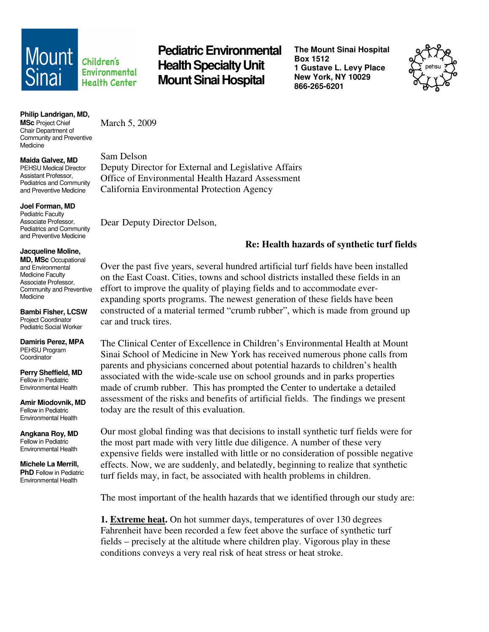

Environmental **Health Center** 

**Mount** *children's* Pediatric Environmental **Health Specialty Unit Mount Sinai Hospital** 

**The Mount Sinai Hospital Box 1512 1 Gustave L. Levy Place New York, NY 10029 866-265-6201** 



**Philip Landrigan, MD,** 

**MSc** Project Chief Chair Department of Community and Preventive Medicine

**Maida Galvez, MD** 

PEHSU Medical Director Assistant Professor, Pediatrics and Community and Preventive Medicine

**Joel Forman, MD** 

Pediatric Faculty Associate Professor, Pediatrics and Community and Preventive Medicine

## **Jacqueline Moline,**

**MD, MSc** Occupational and Environmental Medicine Faculty Associate Professor, Community and Preventive Medicine

**Bambi Fisher, LCSW**  Project Coordinator Pediatric Social Worker

**Damiris Perez, MPA**  PEHSU Program **Coordinator** 

**Perry Sheffield, MD**  Fellow in Pediatric Environmental Health

**Amir Miodovnik, MD**  Fellow in Pediatric Environmental Health

**Angkana Roy, MD**  Fellow in Pediatric Environmental Health

**Michele La Merrill, PhD** Fellow in Pediatric Environmental Health

March 5, 2009

Sam Delson Deputy Director for External and Legislative Affairs Office of Environmental Health Hazard Assessment California Environmental Protection Agency

Dear Deputy Director Delson,

## **Re: Health hazards of synthetic turf fields**

Over the past five years, several hundred artificial turf fields have been installed on the East Coast. Cities, towns and school districts installed these fields in an effort to improve the quality of playing fields and to accommodate everexpanding sports programs. The newest generation of these fields have been constructed of a material termed "crumb rubber", which is made from ground up car and truck tires.

The Clinical Center of Excellence in Children's Environmental Health at Mount Sinai School of Medicine in New York has received numerous phone calls from parents and physicians concerned about potential hazards to children's health associated with the wide-scale use on school grounds and in parks properties made of crumb rubber. This has prompted the Center to undertake a detailed assessment of the risks and benefits of artificial fields. The findings we present today are the result of this evaluation.

Our most global finding was that decisions to install synthetic turf fields were for the most part made with very little due diligence. A number of these very expensive fields were installed with little or no consideration of possible negative effects. Now, we are suddenly, and belatedly, beginning to realize that synthetic turf fields may, in fact, be associated with health problems in children.

The most important of the health hazards that we identified through our study are:

**1. Extreme heat.** On hot summer days, temperatures of over 130 degrees Fahrenheit have been recorded a few feet above the surface of synthetic turf fields – precisely at the altitude where children play. Vigorous play in these conditions conveys a very real risk of heat stress or heat stroke.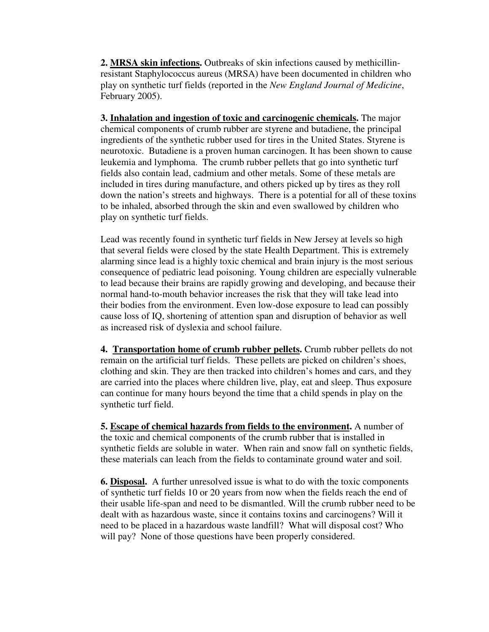**2. MRSA skin infections.** Outbreaks of skin infections caused by methicillinresistant Staphylococcus aureus (MRSA) have been documented in children who play on synthetic turf fields (reported in the *New England Journal of Medicine*, February 2005).

**3. Inhalation and ingestion of toxic and carcinogenic chemicals.** The major chemical components of crumb rubber are styrene and butadiene, the principal ingredients of the synthetic rubber used for tires in the United States. Styrene is neurotoxic. Butadiene is a proven human carcinogen. It has been shown to cause leukemia and lymphoma. The crumb rubber pellets that go into synthetic turf fields also contain lead, cadmium and other metals. Some of these metals are included in tires during manufacture, and others picked up by tires as they roll down the nation's streets and highways. There is a potential for all of these toxins to be inhaled, absorbed through the skin and even swallowed by children who play on synthetic turf fields.

Lead was recently found in synthetic turf fields in New Jersey at levels so high that several fields were closed by the state Health Department. This is extremely alarming since lead is a highly toxic chemical and brain injury is the most serious consequence of pediatric lead poisoning. Young children are especially vulnerable to lead because their brains are rapidly growing and developing, and because their normal hand-to-mouth behavior increases the risk that they will take lead into their bodies from the environment. Even low-dose exposure to lead can possibly cause loss of IQ, shortening of attention span and disruption of behavior as well as increased risk of dyslexia and school failure.

**4. Transportation home of crumb rubber pellets.** Crumb rubber pellets do not remain on the artificial turf fields. These pellets are picked on children's shoes, clothing and skin. They are then tracked into children's homes and cars, and they are carried into the places where children live, play, eat and sleep. Thus exposure can continue for many hours beyond the time that a child spends in play on the synthetic turf field.

**5. Escape of chemical hazards from fields to the environment.** A number of the toxic and chemical components of the crumb rubber that is installed in synthetic fields are soluble in water. When rain and snow fall on synthetic fields, these materials can leach from the fields to contaminate ground water and soil.

**6. Disposal.** A further unresolved issue is what to do with the toxic components of synthetic turf fields 10 or 20 years from now when the fields reach the end of their usable life-span and need to be dismantled. Will the crumb rubber need to be dealt with as hazardous waste, since it contains toxins and carcinogens? Will it need to be placed in a hazardous waste landfill? What will disposal cost? Who will pay? None of those questions have been properly considered.